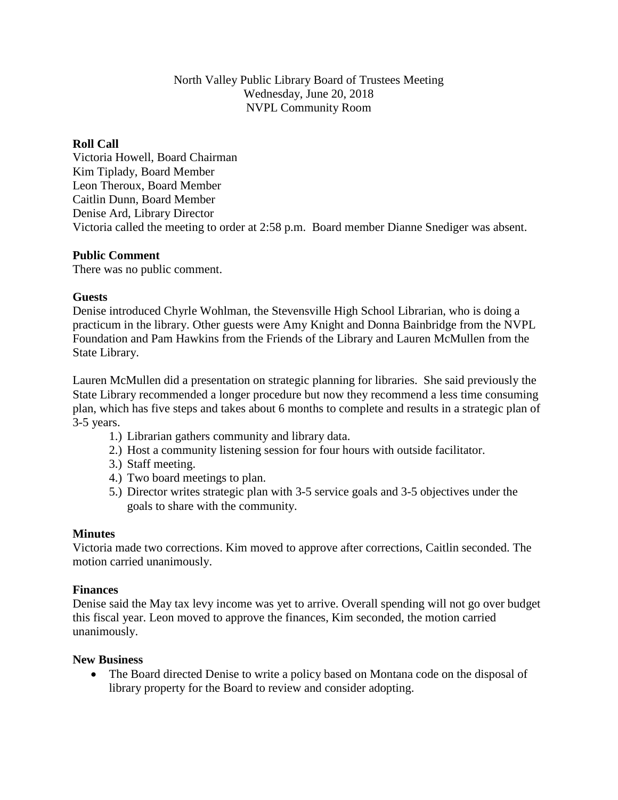# North Valley Public Library Board of Trustees Meeting Wednesday, June 20, 2018 NVPL Community Room

## **Roll Call**

Victoria Howell, Board Chairman Kim Tiplady, Board Member Leon Theroux, Board Member Caitlin Dunn, Board Member Denise Ard, Library Director Victoria called the meeting to order at 2:58 p.m. Board member Dianne Snediger was absent.

### **Public Comment**

There was no public comment.

# **Guests**

Denise introduced Chyrle Wohlman, the Stevensville High School Librarian, who is doing a practicum in the library. Other guests were Amy Knight and Donna Bainbridge from the NVPL Foundation and Pam Hawkins from the Friends of the Library and Lauren McMullen from the State Library.

Lauren McMullen did a presentation on strategic planning for libraries. She said previously the State Library recommended a longer procedure but now they recommend a less time consuming plan, which has five steps and takes about 6 months to complete and results in a strategic plan of 3-5 years.

- 1.) Librarian gathers community and library data.
- 2.) Host a community listening session for four hours with outside facilitator.
- 3.) Staff meeting.
- 4.) Two board meetings to plan.
- 5.) Director writes strategic plan with 3-5 service goals and 3-5 objectives under the goals to share with the community.

### **Minutes**

Victoria made two corrections. Kim moved to approve after corrections, Caitlin seconded. The motion carried unanimously.

### **Finances**

Denise said the May tax levy income was yet to arrive. Overall spending will not go over budget this fiscal year. Leon moved to approve the finances, Kim seconded, the motion carried unanimously.

### **New Business**

• The Board directed Denise to write a policy based on Montana code on the disposal of library property for the Board to review and consider adopting.